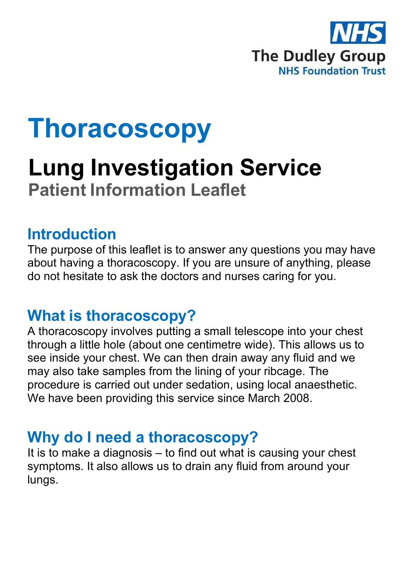

# **Thoracoscopy**

# **Lung Investigation Service Patient Information Leaflet**

#### **Introduction**

The purpose of this leaflet is to answer any questions you may have about having a thoracoscopy. If you are unsure of anything, please do not hesitate to ask the doctors and nurses caring for you.

#### **What is thoracoscopy?**

A thoracoscopy involves putting a small telescope into your chest through a little hole (about one centimetre wide). This allows us to see inside your chest. We can then drain away any fluid and we may also take samples from the lining of your ribcage. The procedure is carried out under sedation, using local anaesthetic. We have been providing this service since March 2008.

#### **Why do I need a thoracoscopy?**

It is to make a diagnosis – to find out what is causing your chest symptoms. It also allows us to drain any fluid from around your lungs.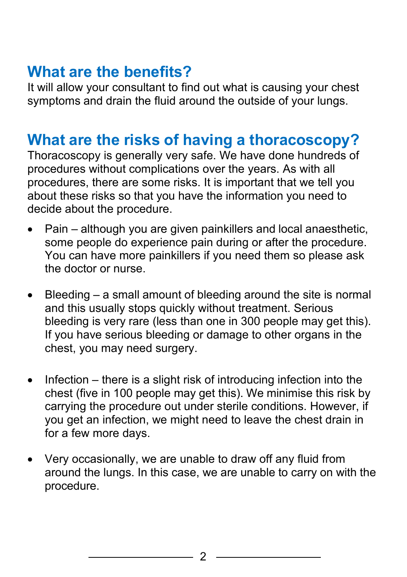#### **What are the benefits?**

It will allow your consultant to find out what is causing your chest symptoms and drain the fluid around the outside of your lungs.

#### **What are the risks of having a thoracoscopy?**

Thoracoscopy is generally very safe. We have done hundreds of procedures without complications over the years. As with all procedures, there are some risks. It is important that we tell you about these risks so that you have the information you need to decide about the procedure.

- Pain although you are given painkillers and local anaesthetic, some people do experience pain during or after the procedure. You can have more painkillers if you need them so please ask the doctor or nurse.
- Bleeding  $-$  a small amount of bleeding around the site is normal and this usually stops quickly without treatment. Serious bleeding is very rare (less than one in 300 people may get this). If you have serious bleeding or damage to other organs in the chest, you may need surgery.
- Infection there is a slight risk of introducing infection into the chest (five in 100 people may get this). We minimise this risk by carrying the procedure out under sterile conditions. However, if you get an infection, we might need to leave the chest drain in for a few more days.
- Very occasionally, we are unable to draw off any fluid from around the lungs. In this case, we are unable to carry on with the procedure.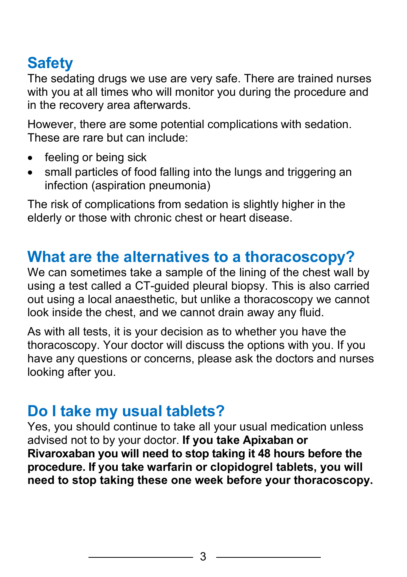## **Safety**

The sedating drugs we use are very safe. There are trained nurses with you at all times who will monitor you during the procedure and in the recovery area afterwards.

However, there are some potential complications with sedation. These are rare but can include:

- feeling or being sick
- small particles of food falling into the lungs and triggering an infection (aspiration pneumonia)

The risk of complications from sedation is slightly higher in the elderly or those with chronic chest or heart disease.

#### **What are the alternatives to a thoracoscopy?**

We can sometimes take a sample of the lining of the chest wall by using a test called a CT-guided pleural biopsy. This is also carried out using a local anaesthetic, but unlike a thoracoscopy we cannot look inside the chest, and we cannot drain away any fluid.

As with all tests, it is your decision as to whether you have the thoracoscopy. Your doctor will discuss the options with you. If you have any questions or concerns, please ask the doctors and nurses looking after you.

#### **Do I take my usual tablets?**

Yes, you should continue to take all your usual medication unless advised not to by your doctor. **If you take Apixaban or Rivaroxaban you will need to stop taking it 48 hours before the procedure. If you take warfarin or clopidogrel tablets, you will need to stop taking these one week before your thoracoscopy.**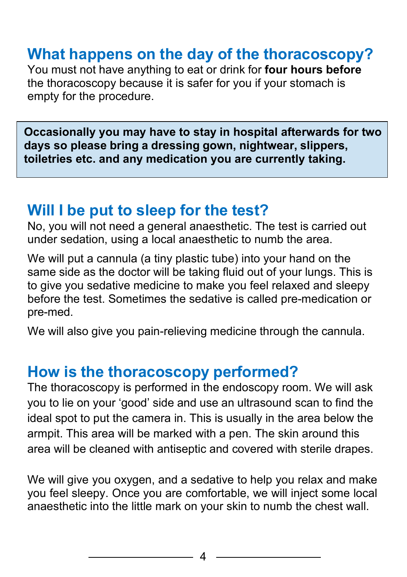#### **What happens on the day of the thoracoscopy?**

You must not have anything to eat or drink for **four hours before**  the thoracoscopy because it is safer for you if your stomach is empty for the procedure.

**Occasionally you may have to stay in hospital afterwards for two days so please bring a dressing gown, nightwear, slippers, toiletries etc. and any medication you are currently taking.**

#### **Will I be put to sleep for the test?**

No, you will not need a general anaesthetic. The test is carried out under sedation, using a local anaesthetic to numb the area.

We will put a cannula (a tiny plastic tube) into your hand on the same side as the doctor will be taking fluid out of your lungs. This is to give you sedative medicine to make you feel relaxed and sleepy before the test. Sometimes the sedative is called pre-medication or pre-med.

We will also give you pain-relieving medicine through the cannula.

#### **How is the thoracoscopy performed?**

The thoracoscopy is performed in the endoscopy room. We will ask you to lie on your 'good' side and use an ultrasound scan to find the ideal spot to put the camera in. This is usually in the area below the armpit. This area will be marked with a pen. The skin around this area will be cleaned with antiseptic and covered with sterile drapes.

We will give you oxygen, and a sedative to help you relax and make you feel sleepy. Once you are comfortable, we will inject some local anaesthetic into the little mark on your skin to numb the chest wall.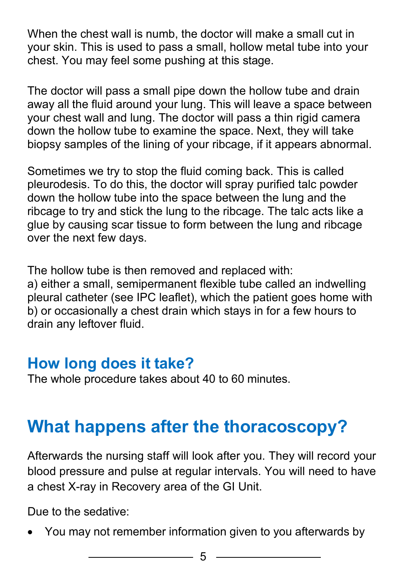When the chest wall is numb, the doctor will make a small cut in your skin. This is used to pass a small, hollow metal tube into your chest. You may feel some pushing at this stage.

The doctor will pass a small pipe down the hollow tube and drain away all the fluid around your lung. This will leave a space between your chest wall and lung. The doctor will pass a thin rigid camera down the hollow tube to examine the space. Next, they will take biopsy samples of the lining of your ribcage, if it appears abnormal.

Sometimes we try to stop the fluid coming back. This is called pleurodesis. To do this, the doctor will spray purified talc powder down the hollow tube into the space between the lung and the ribcage to try and stick the lung to the ribcage. The talc acts like a glue by causing scar tissue to form between the lung and ribcage over the next few days.

The hollow tube is then removed and replaced with: a) either a small, semipermanent flexible tube called an indwelling pleural catheter (see IPC leaflet), which the patient goes home with b) or occasionally a chest drain which stays in for a few hours to drain any leftover fluid.

#### **How long does it take?**

The whole procedure takes about 40 to 60 minutes.

## **What happens after the thoracoscopy?**

Afterwards the nursing staff will look after you. They will record your blood pressure and pulse at regular intervals. You will need to have a chest X-ray in Recovery area of the GI Unit.

Due to the sedative:

• You may not remember information given to you afterwards by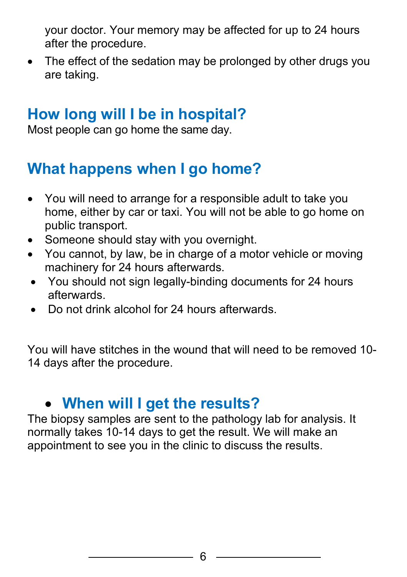your doctor. Your memory may be affected for up to 24 hours after the procedure.

• The effect of the sedation may be prolonged by other drugs you are taking.

#### **How long will I be in hospital?**

Most people can go home the same day.

### **What happens when I go home?**

- You will need to arrange for a responsible adult to take you home, either by car or taxi. You will not be able to go home on public transport.
- Someone should stay with you overnight.
- You cannot, by law, be in charge of a motor vehicle or moving machinery for 24 hours afterwards.
- You should not sign legally-binding documents for 24 hours afterwards.
- Do not drink alcohol for 24 hours afterwards.

You will have stitches in the wound that will need to be removed 10- 14 days after the procedure.

## • **When will I get the results?**

The biopsy samples are sent to the pathology lab for analysis. It normally takes 10-14 days to get the result. We will make an appointment to see you in the clinic to discuss the results.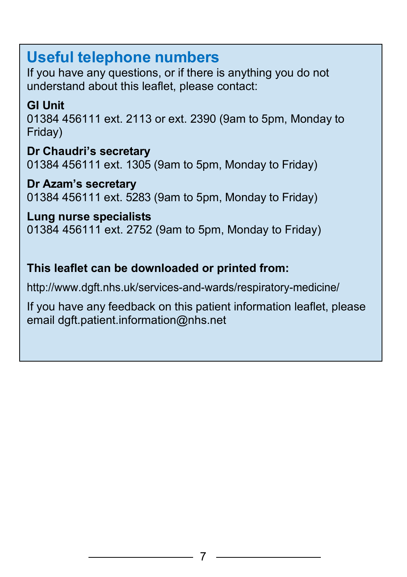#### **Useful telephone numbers**

If you have any questions, or if there is anything you do not understand about this leaflet, please contact:

#### **GI Unit**

01384 456111 ext. 2113 or ext. 2390 (9am to 5pm, Monday to Friday)

**Dr Chaudri's secretary** 01384 456111 ext. 1305 (9am to 5pm, Monday to Friday)

**Dr Azam's secretary** 01384 456111 ext. 5283 (9am to 5pm, Monday to Friday)

**Lung nurse specialists** 01384 456111 ext. 2752 (9am to 5pm, Monday to Friday)

#### **This leaflet can be downloaded or printed from:**

<http://www.dgft.nhs.uk/services-and-wards/respiratory-medicine/>

If you have any feedback on this patient information leaflet, please email [dgft.patient.information@nhs.net](mailto:dgft.patient.information@nhs.net)